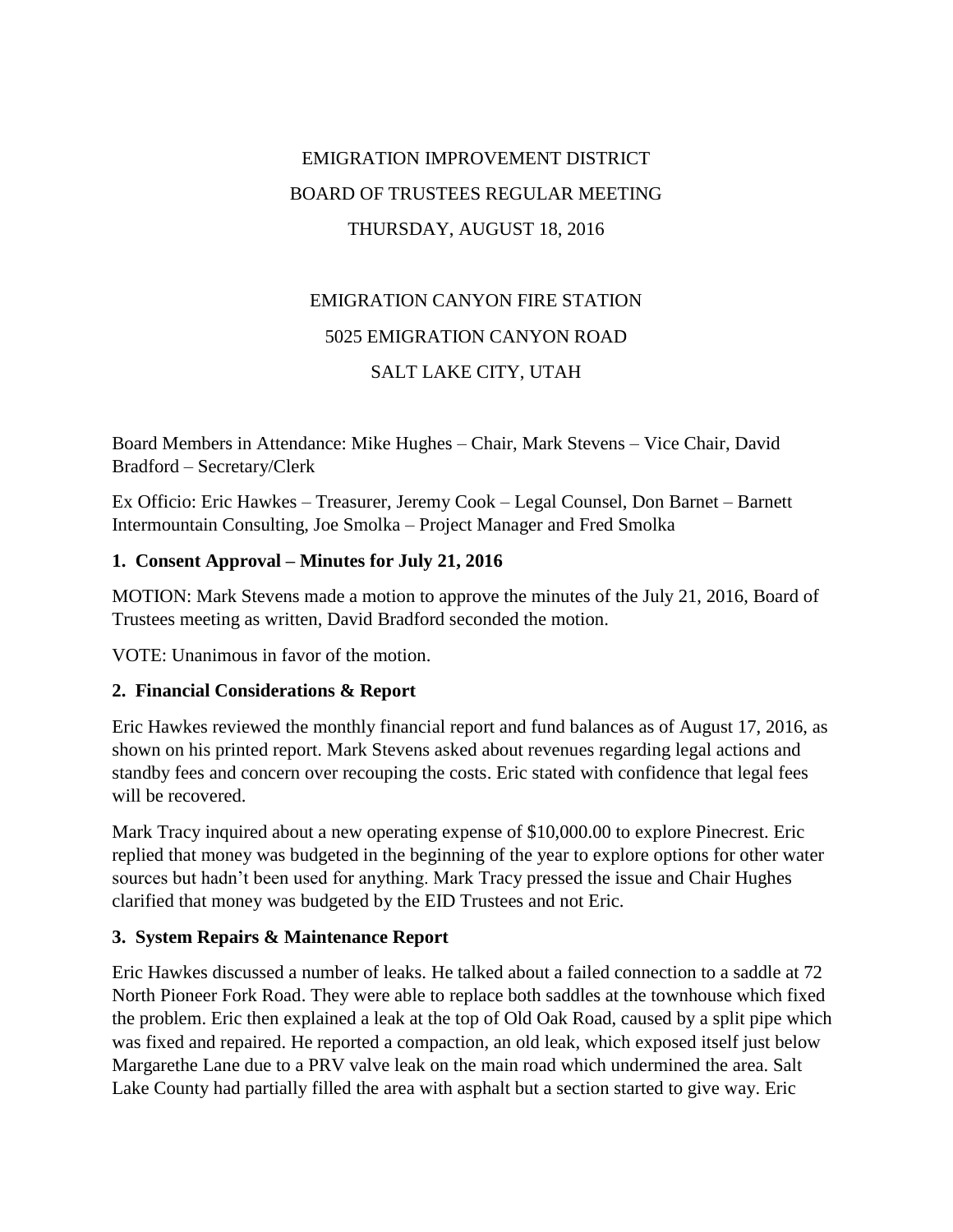## EMIGRATION IMPROVEMENT DISTRICT BOARD OF TRUSTEES REGULAR MEETING THURSDAY, AUGUST 18, 2016

# EMIGRATION CANYON FIRE STATION 5025 EMIGRATION CANYON ROAD SALT LAKE CITY, UTAH

Board Members in Attendance: Mike Hughes – Chair, Mark Stevens – Vice Chair, David Bradford – Secretary/Clerk

Ex Officio: Eric Hawkes – Treasurer, Jeremy Cook – Legal Counsel, Don Barnet – Barnett Intermountain Consulting, Joe Smolka – Project Manager and Fred Smolka

## **1. Consent Approval – Minutes for July 21, 2016**

MOTION: Mark Stevens made a motion to approve the minutes of the July 21, 2016, Board of Trustees meeting as written, David Bradford seconded the motion.

VOTE: Unanimous in favor of the motion.

## **2. Financial Considerations & Report**

Eric Hawkes reviewed the monthly financial report and fund balances as of August 17, 2016, as shown on his printed report. Mark Stevens asked about revenues regarding legal actions and standby fees and concern over recouping the costs. Eric stated with confidence that legal fees will be recovered.

Mark Tracy inquired about a new operating expense of \$10,000.00 to explore Pinecrest. Eric replied that money was budgeted in the beginning of the year to explore options for other water sources but hadn't been used for anything. Mark Tracy pressed the issue and Chair Hughes clarified that money was budgeted by the EID Trustees and not Eric.

## **3. System Repairs & Maintenance Report**

Eric Hawkes discussed a number of leaks. He talked about a failed connection to a saddle at 72 North Pioneer Fork Road. They were able to replace both saddles at the townhouse which fixed the problem. Eric then explained a leak at the top of Old Oak Road, caused by a split pipe which was fixed and repaired. He reported a compaction, an old leak, which exposed itself just below Margarethe Lane due to a PRV valve leak on the main road which undermined the area. Salt Lake County had partially filled the area with asphalt but a section started to give way. Eric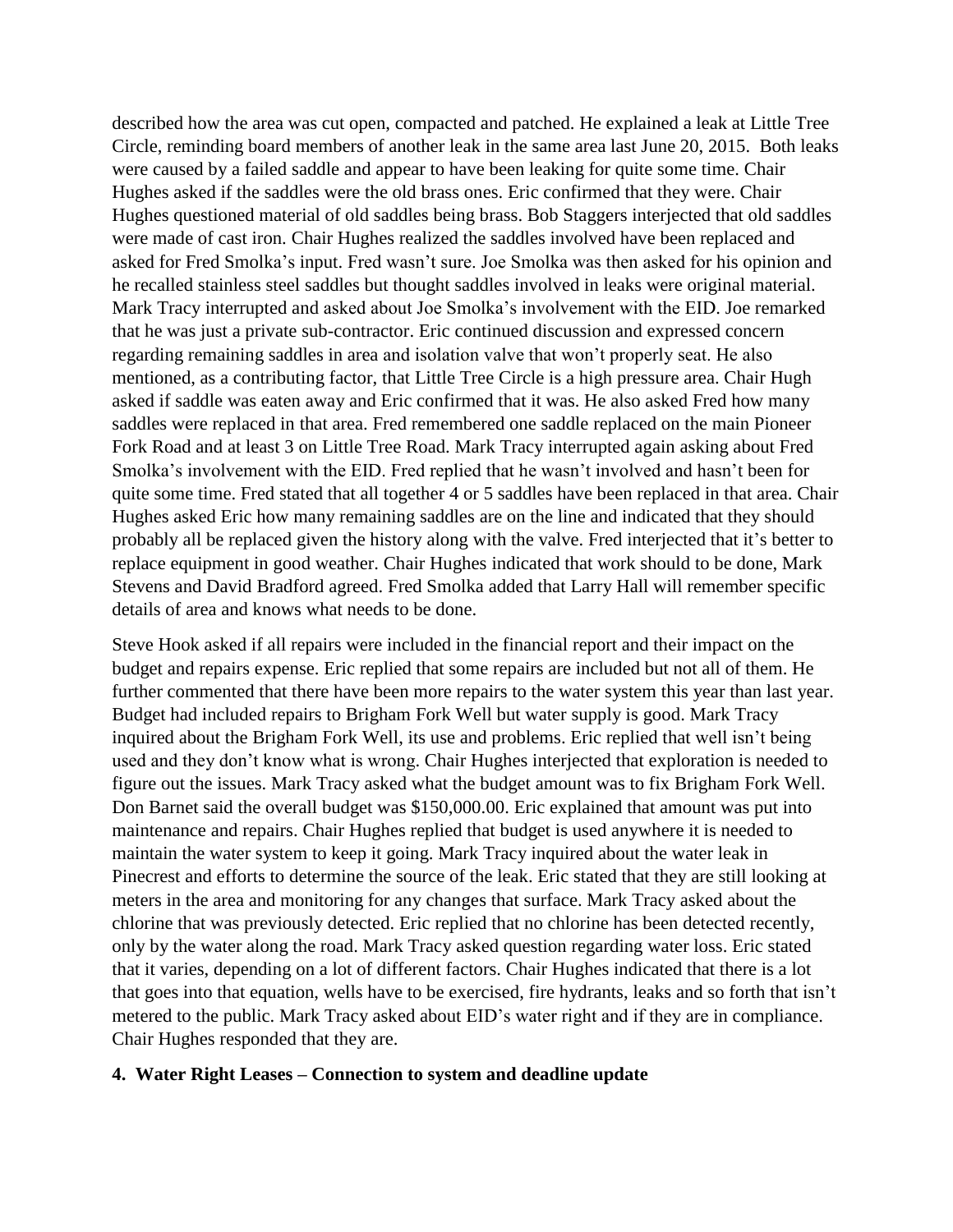described how the area was cut open, compacted and patched. He explained a leak at Little Tree Circle, reminding board members of another leak in the same area last June 20, 2015. Both leaks were caused by a failed saddle and appear to have been leaking for quite some time. Chair Hughes asked if the saddles were the old brass ones. Eric confirmed that they were. Chair Hughes questioned material of old saddles being brass. Bob Staggers interjected that old saddles were made of cast iron. Chair Hughes realized the saddles involved have been replaced and asked for Fred Smolka's input. Fred wasn't sure. Joe Smolka was then asked for his opinion and he recalled stainless steel saddles but thought saddles involved in leaks were original material. Mark Tracy interrupted and asked about Joe Smolka's involvement with the EID. Joe remarked that he was just a private sub-contractor. Eric continued discussion and expressed concern regarding remaining saddles in area and isolation valve that won't properly seat. He also mentioned, as a contributing factor, that Little Tree Circle is a high pressure area. Chair Hugh asked if saddle was eaten away and Eric confirmed that it was. He also asked Fred how many saddles were replaced in that area. Fred remembered one saddle replaced on the main Pioneer Fork Road and at least 3 on Little Tree Road. Mark Tracy interrupted again asking about Fred Smolka's involvement with the EID. Fred replied that he wasn't involved and hasn't been for quite some time. Fred stated that all together 4 or 5 saddles have been replaced in that area. Chair Hughes asked Eric how many remaining saddles are on the line and indicated that they should probably all be replaced given the history along with the valve. Fred interjected that it's better to replace equipment in good weather. Chair Hughes indicated that work should to be done, Mark Stevens and David Bradford agreed. Fred Smolka added that Larry Hall will remember specific details of area and knows what needs to be done.

Steve Hook asked if all repairs were included in the financial report and their impact on the budget and repairs expense. Eric replied that some repairs are included but not all of them. He further commented that there have been more repairs to the water system this year than last year. Budget had included repairs to Brigham Fork Well but water supply is good. Mark Tracy inquired about the Brigham Fork Well, its use and problems. Eric replied that well isn't being used and they don't know what is wrong. Chair Hughes interjected that exploration is needed to figure out the issues. Mark Tracy asked what the budget amount was to fix Brigham Fork Well. Don Barnet said the overall budget was \$150,000.00. Eric explained that amount was put into maintenance and repairs. Chair Hughes replied that budget is used anywhere it is needed to maintain the water system to keep it going. Mark Tracy inquired about the water leak in Pinecrest and efforts to determine the source of the leak. Eric stated that they are still looking at meters in the area and monitoring for any changes that surface. Mark Tracy asked about the chlorine that was previously detected. Eric replied that no chlorine has been detected recently, only by the water along the road. Mark Tracy asked question regarding water loss. Eric stated that it varies, depending on a lot of different factors. Chair Hughes indicated that there is a lot that goes into that equation, wells have to be exercised, fire hydrants, leaks and so forth that isn't metered to the public. Mark Tracy asked about EID's water right and if they are in compliance. Chair Hughes responded that they are.

#### **4. Water Right Leases – Connection to system and deadline update**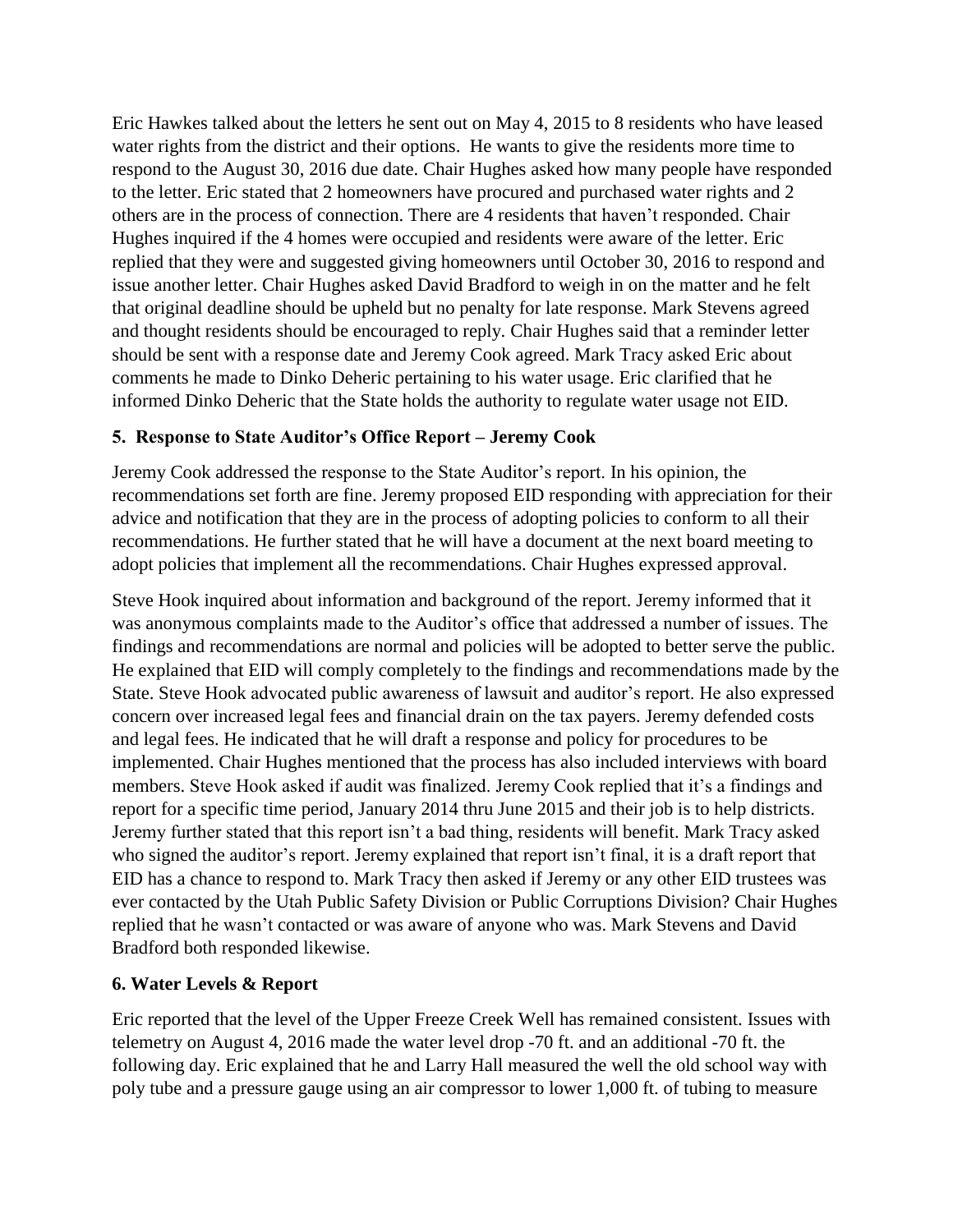Eric Hawkes talked about the letters he sent out on May 4, 2015 to 8 residents who have leased water rights from the district and their options. He wants to give the residents more time to respond to the August 30, 2016 due date. Chair Hughes asked how many people have responded to the letter. Eric stated that 2 homeowners have procured and purchased water rights and 2 others are in the process of connection. There are 4 residents that haven't responded. Chair Hughes inquired if the 4 homes were occupied and residents were aware of the letter. Eric replied that they were and suggested giving homeowners until October 30, 2016 to respond and issue another letter. Chair Hughes asked David Bradford to weigh in on the matter and he felt that original deadline should be upheld but no penalty for late response. Mark Stevens agreed and thought residents should be encouraged to reply. Chair Hughes said that a reminder letter should be sent with a response date and Jeremy Cook agreed. Mark Tracy asked Eric about comments he made to Dinko Deheric pertaining to his water usage. Eric clarified that he informed Dinko Deheric that the State holds the authority to regulate water usage not EID.

## **5. Response to State Auditor's Office Report – Jeremy Cook**

Jeremy Cook addressed the response to the State Auditor's report. In his opinion, the recommendations set forth are fine. Jeremy proposed EID responding with appreciation for their advice and notification that they are in the process of adopting policies to conform to all their recommendations. He further stated that he will have a document at the next board meeting to adopt policies that implement all the recommendations. Chair Hughes expressed approval.

Steve Hook inquired about information and background of the report. Jeremy informed that it was anonymous complaints made to the Auditor's office that addressed a number of issues. The findings and recommendations are normal and policies will be adopted to better serve the public. He explained that EID will comply completely to the findings and recommendations made by the State. Steve Hook advocated public awareness of lawsuit and auditor's report. He also expressed concern over increased legal fees and financial drain on the tax payers. Jeremy defended costs and legal fees. He indicated that he will draft a response and policy for procedures to be implemented. Chair Hughes mentioned that the process has also included interviews with board members. Steve Hook asked if audit was finalized. Jeremy Cook replied that it's a findings and report for a specific time period, January 2014 thru June 2015 and their job is to help districts. Jeremy further stated that this report isn't a bad thing, residents will benefit. Mark Tracy asked who signed the auditor's report. Jeremy explained that report isn't final, it is a draft report that EID has a chance to respond to. Mark Tracy then asked if Jeremy or any other EID trustees was ever contacted by the Utah Public Safety Division or Public Corruptions Division? Chair Hughes replied that he wasn't contacted or was aware of anyone who was. Mark Stevens and David Bradford both responded likewise.

## **6. Water Levels & Report**

Eric reported that the level of the Upper Freeze Creek Well has remained consistent. Issues with telemetry on August 4, 2016 made the water level drop -70 ft. and an additional -70 ft. the following day. Eric explained that he and Larry Hall measured the well the old school way with poly tube and a pressure gauge using an air compressor to lower 1,000 ft. of tubing to measure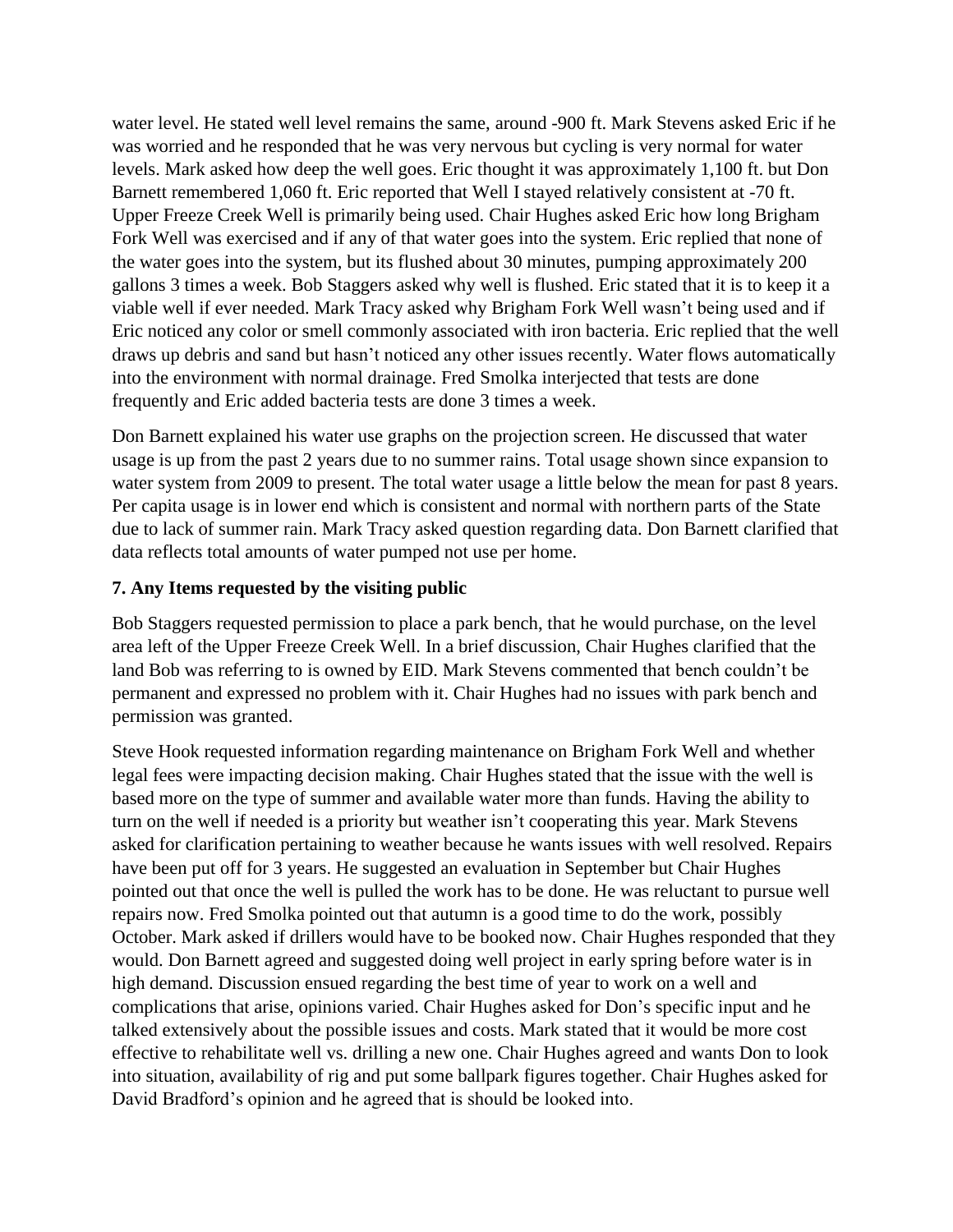water level. He stated well level remains the same, around -900 ft. Mark Stevens asked Eric if he was worried and he responded that he was very nervous but cycling is very normal for water levels. Mark asked how deep the well goes. Eric thought it was approximately 1,100 ft. but Don Barnett remembered 1,060 ft. Eric reported that Well I stayed relatively consistent at -70 ft. Upper Freeze Creek Well is primarily being used. Chair Hughes asked Eric how long Brigham Fork Well was exercised and if any of that water goes into the system. Eric replied that none of the water goes into the system, but its flushed about 30 minutes, pumping approximately 200 gallons 3 times a week. Bob Staggers asked why well is flushed. Eric stated that it is to keep it a viable well if ever needed. Mark Tracy asked why Brigham Fork Well wasn't being used and if Eric noticed any color or smell commonly associated with iron bacteria. Eric replied that the well draws up debris and sand but hasn't noticed any other issues recently. Water flows automatically into the environment with normal drainage. Fred Smolka interjected that tests are done frequently and Eric added bacteria tests are done 3 times a week.

Don Barnett explained his water use graphs on the projection screen. He discussed that water usage is up from the past 2 years due to no summer rains. Total usage shown since expansion to water system from 2009 to present. The total water usage a little below the mean for past 8 years. Per capita usage is in lower end which is consistent and normal with northern parts of the State due to lack of summer rain. Mark Tracy asked question regarding data. Don Barnett clarified that data reflects total amounts of water pumped not use per home.

## **7. Any Items requested by the visiting public**

Bob Staggers requested permission to place a park bench, that he would purchase, on the level area left of the Upper Freeze Creek Well. In a brief discussion, Chair Hughes clarified that the land Bob was referring to is owned by EID. Mark Stevens commented that bench couldn't be permanent and expressed no problem with it. Chair Hughes had no issues with park bench and permission was granted.

Steve Hook requested information regarding maintenance on Brigham Fork Well and whether legal fees were impacting decision making. Chair Hughes stated that the issue with the well is based more on the type of summer and available water more than funds. Having the ability to turn on the well if needed is a priority but weather isn't cooperating this year. Mark Stevens asked for clarification pertaining to weather because he wants issues with well resolved. Repairs have been put off for 3 years. He suggested an evaluation in September but Chair Hughes pointed out that once the well is pulled the work has to be done. He was reluctant to pursue well repairs now. Fred Smolka pointed out that autumn is a good time to do the work, possibly October. Mark asked if drillers would have to be booked now. Chair Hughes responded that they would. Don Barnett agreed and suggested doing well project in early spring before water is in high demand. Discussion ensued regarding the best time of year to work on a well and complications that arise, opinions varied. Chair Hughes asked for Don's specific input and he talked extensively about the possible issues and costs. Mark stated that it would be more cost effective to rehabilitate well vs. drilling a new one. Chair Hughes agreed and wants Don to look into situation, availability of rig and put some ballpark figures together. Chair Hughes asked for David Bradford's opinion and he agreed that is should be looked into.